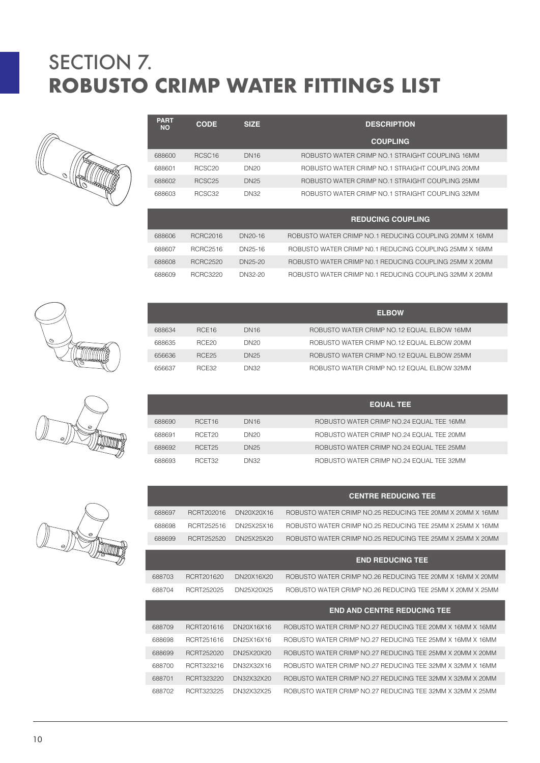

| PART<br><b>NO</b> | <b>CODE</b>        | <b>SIZE</b>      | <b>DESCRIPTION</b>                                     |
|-------------------|--------------------|------------------|--------------------------------------------------------|
|                   |                    |                  | <b>COUPLING</b>                                        |
| 688600            | RCSC <sub>16</sub> | <b>DN16</b>      | ROBUSTO WATER CRIMP NO.1 STRAIGHT COUPLING 16MM        |
| 688601            | RCSC <sub>20</sub> | DN <sub>20</sub> | ROBUSTO WATER CRIMP NO.1 STRAIGHT COUPLING 20MM        |
| 688602            | RCSC <sub>25</sub> | <b>DN25</b>      | ROBUSTO WATER CRIMP NO.1 STRAIGHT COUPLING 25MM        |
| 688603            | RCSC <sub>32</sub> | <b>DN32</b>      | ROBUSTO WATER CRIMP NO.1 STRAIGHT COUPLING 32MM        |
|                   |                    |                  | <b>REDUCING COUPLING</b>                               |
| 688606            | <b>RCRC2016</b>    | DN20-16          | ROBUSTO WATER CRIMP NO.1 REDUCING COUPLING 20MM X 16MM |
| 688607            | <b>RCRC2516</b>    | DN25-16          | ROBUSTO WATER CRIMP NO.1 REDUCING COUPLING 25MM X 16MM |
| 688608            | <b>RCRC2520</b>    | DN25-20          | ROBUSTO WATER CRIMP NO.1 REDUCING COUPLING 25MM X 20MM |

|        |                   |                  | <b>ELBOW</b>                               |
|--------|-------------------|------------------|--------------------------------------------|
| 688634 | RCE <sub>16</sub> | DN <sub>16</sub> | ROBUSTO WATER CRIMP NO.12 EQUAL ELBOW 16MM |
| 688635 | RCE <sub>20</sub> | DN <sub>20</sub> | ROBUSTO WATER CRIMP NO.12 EQUAL ELBOW 20MM |
| 656636 | <b>RCF25</b>      | DN <sub>25</sub> | ROBUSTO WATER CRIMP NO.12 EQUAL ELBOW 25MM |
| 656637 | <b>RCE32</b>      | DN32             | ROBUSTO WATER CRIMP NO.12 EQUAL ELBOW 32MM |

RCRC3220 DN32-20 ROBUSTO WATER CRIMP N0.1 REDUCING COUPLING 32MM X 20MM

|        |                    |                  | <b>EQUAL TEE</b>                         |
|--------|--------------------|------------------|------------------------------------------|
| 688690 | RCET <sub>16</sub> | DN <sub>16</sub> | ROBUSTO WATER CRIMP NO.24 EQUAL TEE 16MM |
| 688691 | RCET <sub>20</sub> | DN <sub>20</sub> | ROBUSTO WATER CRIMP NO.24 EQUAL TEE 20MM |
| 688692 | RCET <sub>25</sub> | DN <sub>25</sub> | ROBUSTO WATER CRIMP NO.24 EQUAL TEE 25MM |
| 688693 | RCFT32             | DN32             | ROBUSTO WATER CRIMP NO.24 EQUAL TEE 32MM |

|        |            |            | <b>CENTRE REDUCING TEE</b>                                |
|--------|------------|------------|-----------------------------------------------------------|
| 688697 | RCRT202016 | DN20X20X16 | ROBUSTO WATER CRIMP NO.25 REDUCING TEE 20MM X 20MM X 16MM |
| 688698 | RCRT252516 | DN25X25X16 | ROBUSTO WATER CRIMP NO.25 REDUCING TEE 25MM X 25MM X 16MM |
| 688699 | RCRT252520 | DN25X25X20 | ROBUSTO WATER CRIMP NO.25 REDUCING TEE 25MM X 25MM X 20MM |
|        |            |            | <b>END REDUCING TEE</b>                                   |
| 688703 | RCRT201620 | DN20X16X20 | ROBUSTO WATER CRIMP NO.26 REDUCING TEE 20MM X 16MM X 20MM |
| 688704 | RCRT252025 | DN25X20X25 | ROBUSTO WATER CRIMP NO.26 REDUCING TEE 25MM X 20MM X 25MM |
|        |            |            | <b>END AND CENTRE REDUCING TEE</b>                        |
| 688709 | RCRT201616 | DN20X16X16 | ROBUSTO WATER CRIMP NO.27 REDUCING TEE 20MM X 16MM X 16MM |
| 688698 | RCRT251616 | DN25X16X16 | ROBUSTO WATER CRIMP NO.27 REDUCING TEE 25MM X 16MM X 16MM |
| 688699 | RCRT252020 | DN25X20X20 | ROBUSTO WATER CRIMP NO.27 REDUCING TEE 25MM X 20MM X 20MM |
| 688700 | RCRT323216 | DN32X32X16 | ROBUSTO WATER CRIMP NO.27 REDUCING TEE 32MM X 32MM X 16MM |
| 688701 | RCRT323220 | DN32X32X20 | ROBUSTO WATER CRIMP NO.27 REDUCING TEE 32MM X 32MM X 20MM |
|        |            |            |                                                           |

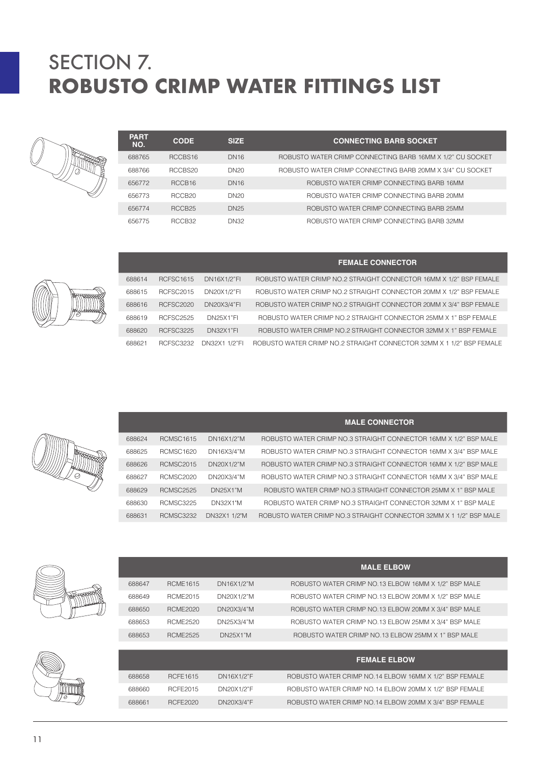| <b>PART</b><br>NO. | <b>CODE</b>         | <b>SIZE</b>      | <b>CONNECTING BARB SOCKET</b>                             |
|--------------------|---------------------|------------------|-----------------------------------------------------------|
| 688765             | RCCBS <sub>16</sub> | <b>DN16</b>      | ROBUSTO WATER CRIMP CONNECTING BARB 16MM X 1/2" CU SOCKET |
| 688766             | RCCBS20             | DN <sub>20</sub> | ROBUSTO WATER CRIMP CONNECTING BARB 20MM X 3/4" CU SOCKET |
| 656772             | RCCB <sub>16</sub>  | <b>DN16</b>      | ROBUSTO WATER CRIMP CONNECTING BARB 16MM                  |
| 656773             | RCCB <sub>20</sub>  | DN <sub>20</sub> | ROBUSTO WATER CRIMP CONNECTING BARB 20MM                  |
| 656774             | RCCB <sub>25</sub>  | <b>DN25</b>      | ROBUSTO WATER CRIMP CONNECTING BARB 25MM                  |
| 656775             | RCCB32              | <b>DN32</b>      | ROBUSTO WATER CRIMP CONNECTING BARB 32MM                  |

|        |                  |                  | <b>FEMALE CONNECTOR</b>                                              |
|--------|------------------|------------------|----------------------------------------------------------------------|
| 688614 | <b>RCFSC1615</b> | DN16X1/2"FI      | ROBUSTO WATER CRIMP NO.2 STRAIGHT CONNECTOR 16MM X 1/2" BSP FEMALE   |
| 688615 | <b>RCFSC2015</b> | DN20X1/2"FI      | ROBUSTO WATER CRIMP NO.2 STRAIGHT CONNECTOR 20MM X 1/2" BSP FEMALE   |
| 688616 | <b>RCFSC2020</b> | DN20X3/4"FI      | ROBUSTO WATER CRIMP NO.2 STRAIGHT CONNECTOR 20MM X 3/4" BSP FEMALE   |
| 688619 | <b>RCFSC2525</b> | <b>DN25X1"FI</b> | ROBUSTO WATER CRIMP NO.2 STRAIGHT CONNECTOR 25MM X 1" BSP FEMALE     |
| 688620 | <b>RCFSC3225</b> | <b>DN32X1"FL</b> | ROBUSTO WATER CRIMP NO.2 STRAIGHT CONNECTOR 32MM X 1" BSP FEMALE     |
| 688621 | <b>RCESC3232</b> | DN32X1 1/2"FI    | ROBUSTO WATER CRIMP NO.2 STRAIGHT CONNECTOR 32MM X 1 1/2" BSP FEMALE |

|        |                  |                 | <b>MALE CONNECTOR</b>                                              |
|--------|------------------|-----------------|--------------------------------------------------------------------|
| 688624 | <b>RCMSC1615</b> | DN16X1/2"M      | ROBUSTO WATER CRIMP NO.3 STRAIGHT CONNECTOR 16MM X 1/2" BSP MALE   |
| 688625 | <b>RCMSC1620</b> | DN16X3/4"M      | ROBUSTO WATER CRIMP NO.3 STRAIGHT CONNECTOR 16MM X 3/4" BSP MALE   |
| 688626 | <b>RCMSC2015</b> | DN20X1/2"M      | ROBUSTO WATER CRIMP NO.3 STRAIGHT CONNECTOR 16MM X 1/2" BSP MALE   |
| 688627 | <b>RCMSC2020</b> | DN20X3/4"M      | ROBUSTO WATER CRIMP NO.3 STRAIGHT CONNECTOR 16MM X 3/4" BSP MALE   |
| 688629 | <b>RCMSC2525</b> | DN25X1"M        | ROBUSTO WATER CRIMP NO.3 STRAIGHT CONNECTOR 25MM X 1" BSP MALE     |
| 688630 | <b>RCMSC3225</b> | <b>DN32X1"M</b> | ROBUSTO WATER CRIMP NO.3 STRAIGHT CONNECTOR 32MM X 1" BSP MALE     |
| 688631 | <b>RCMSC3232</b> | DN32X1 1/2"M    | ROBUSTO WATER CRIMP NO.3 STRAIGHT CONNECTOR 32MM X 1 1/2" BSP MALE |
|        |                  |                 |                                                                    |





| 688649 | <b>RCME2015</b> | DN20X1/2"M | ROBUSTO WATER CRIMP NO.13 ELBOW 20MM X 1/2" BSP MALE    |
|--------|-----------------|------------|---------------------------------------------------------|
| 688650 | <b>RCME2020</b> | DN20X3/4"M | ROBUSTO WATER CRIMP NO.13 ELBOW 20MM X 3/4" BSP MALE    |
| 688653 | <b>RCME2520</b> | DN25X3/4"M | ROBUSTO WATER CRIMP NO.13 ELBOW 25MM X 3/4" BSP MALE    |
| 688653 | <b>RCME2525</b> | DN25X1"M   | ROBUSTO WATER CRIMP NO.13 ELBOW 25MM X 1" BSP MALE      |
|        |                 |            |                                                         |
|        |                 |            |                                                         |
|        |                 |            | <b>FEMALE ELBOW</b>                                     |
| 688658 | <b>RCFE1615</b> | DN16X1/2"F | ROBUSTO WATER CRIMP NO.14 ELBOW 16MM X 1/2" BSP FEMALE  |
| 688660 | RCFE2015        | DN20X1/2"F | ROBUSTO WATER CRIMP NO.14 ELBOW 20MM X 1/2" BSP FEMALE  |
| 688661 | RCFE2020        | DN20X3/4"F | ROBUSTO WATER CRIMP NO. 14 ELBOW 20MM X 3/4" BSP FEMALE |

**MALE ELBOW**



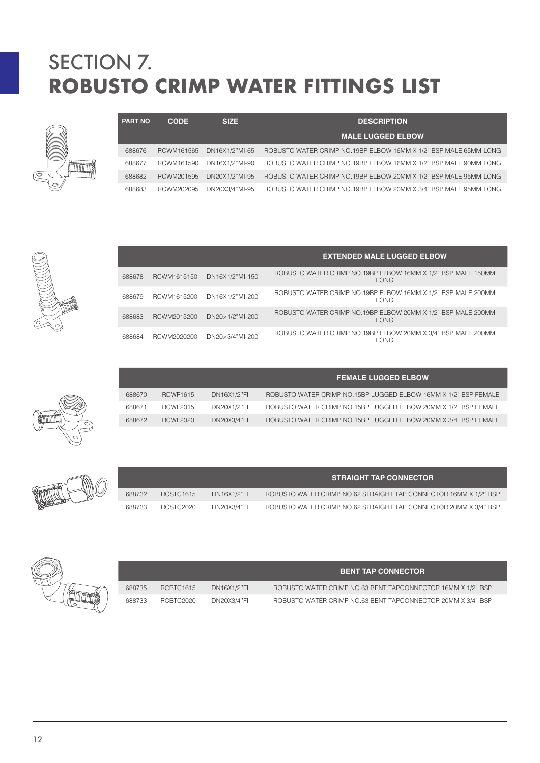| <b>PART NO</b> | <b>CODE</b> | <b>SIZE</b>    | <b>DESCRIPTION</b>                                               |
|----------------|-------------|----------------|------------------------------------------------------------------|
|                |             |                | <b>MALE LUGGED ELBOW</b>                                         |
| 688676         | RCWM161565  | DN16X1/2"MI-65 | ROBUSTO WATER CRIMP NO.19BP ELBOW 16MM X 1/2" BSP MALE 65MM LONG |
| 688677         | RCWM161590  | DN16X1/2"MI-90 | ROBUSTO WATER CRIMP NO.19BP ELBOW 16MM X 1/2" BSP MALE 90MM LONG |
| 688682         | RCWM201595  | DN20X1/2"MI-95 | ROBUSTO WATER CRIMP NO.19BP ELBOW 20MM X 1/2" BSP MALE 95MM LONG |
| 688683         | RCWM202095  | DN20X3/4"MI-95 | ROBUSTO WATER CRIMP NO.19BP ELBOW 20MM X 3/4" BSP MALE 95MM LONG |



**Cilimme** 

 $\circledcirc$ 

|        |             |                 | <b>EXTENDED MALE LUGGED ELBOW</b>                                    |  |
|--------|-------------|-----------------|----------------------------------------------------------------------|--|
| 688678 | RCWM1615150 | DN16X1/2"MI-150 | ROBUSTO WATER CRIMP NO.19BP ELBOW 16MM X 1/2" BSP MALE 150MM<br>LONG |  |
| 688679 | RCWM1615200 | DN16X1/2"MI-200 | ROBUSTO WATER CRIMP NO.19BP ELBOW 16MM X 1/2" BSP MALE 200MM<br>LONG |  |
| 688683 | RCWM2015200 | DN20×1/2"MI-200 | ROBUSTO WATER CRIMP NO.19BP ELBOW 20MM X 1/2" BSP MALE 200MM<br>LONG |  |
| 688684 | RCWM2020200 | DN20×3/4"MI-200 | ROBUSTO WATER CRIMP NO.19BP ELBOW 20MM X 3/4" BSP MALE 200MM<br>LONG |  |

|        |                 |                    | <b>FEMALE LUGGED ELBOW</b>                                      |
|--------|-----------------|--------------------|-----------------------------------------------------------------|
| 688670 | <b>RCWF1615</b> | DN16X1/2"FI        | ROBUSTO WATER CRIMP NO.15BP LUGGED ELBOW 16MM X 1/2" BSP FEMALE |
| 688671 | <b>RCWF2015</b> | DN20X1/2"FI        | ROBUSTO WATER CRIMP NO.15BP LUGGED ELBOW 20MM X 1/2" BSP FEMALE |
| 688672 | <b>RCWF2020</b> | <b>DN20X3/4"FI</b> | ROBUSTO WATER CRIMP NO.15BP LUGGED ELBOW 20MM X 3/4" BSP FEMALE |

|        |           |             | <b>STRAIGHT TAP CONNECTOR</b>                                    |
|--------|-----------|-------------|------------------------------------------------------------------|
| 688732 | RCSTC1615 | DN16X1/2"FI | ROBUSTO WATER CRIMP NO.62 STRAIGHT TAP CONNECTOR 16MM X 1/2" BSP |
| 688733 | RCSTC2020 | DN20X3/4"FI | ROBUSTO WATER CRIMP NO.62 STRAIGHT TAP CONNECTOR 20MM X 3/4" BSP |



|        |           |             | <b>BENT TAP CONNECTOR</b>                                   |
|--------|-----------|-------------|-------------------------------------------------------------|
| 688735 | RCBTC1615 | DN16X1/2"FI | ROBUSTO WATER CRIMP NO.63 BENT TAPCONNECTOR 16MM X 1/2" BSP |
| 688733 | RCBTC2020 | DN20X3/4"FI | ROBUSTO WATER CRIMP NO.63 BENT TAPCONNECTOR 20MM X 3/4" BSP |

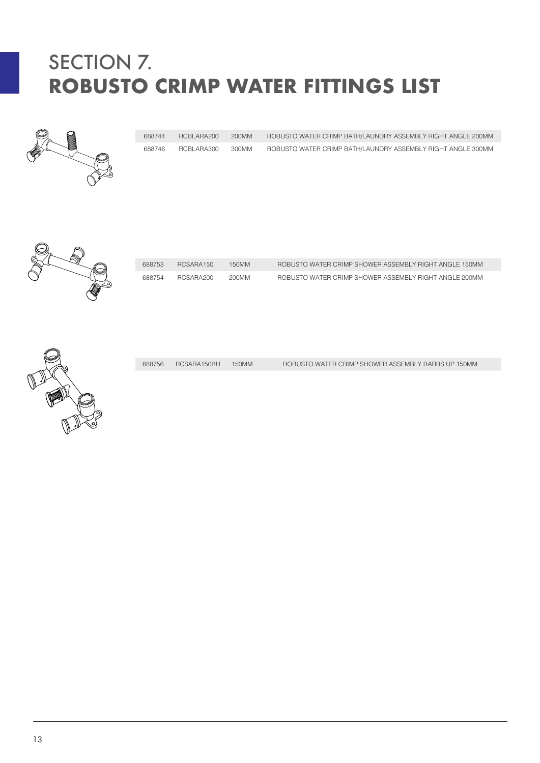

 RCBLARA200 200MM ROBUSTO WATER CRIMP BATH/LAUNDRY ASSEMBLY RIGHT ANGLE 200MM RCBLARA300 300MM ROBUSTO WATER CRIMP BATH/LAUNDRY ASSEMBLY RIGHT ANGLE 300MM



| 688753 | RCSARA150 | 150MM | ROBUSTO WATER CRIMP SHOWER ASSEMBLY RIGHT ANGLE 150MM |
|--------|-----------|-------|-------------------------------------------------------|
| 688754 | RCSARA200 | 200MM | ROBUSTO WATER CRIMP SHOWER ASSEMBLY RIGHT ANGLE 200MM |



RCSARA150BU 150MM ROBUSTO WATER CRIMP SHOWER ASSEMBLY BARBS UP 150MM